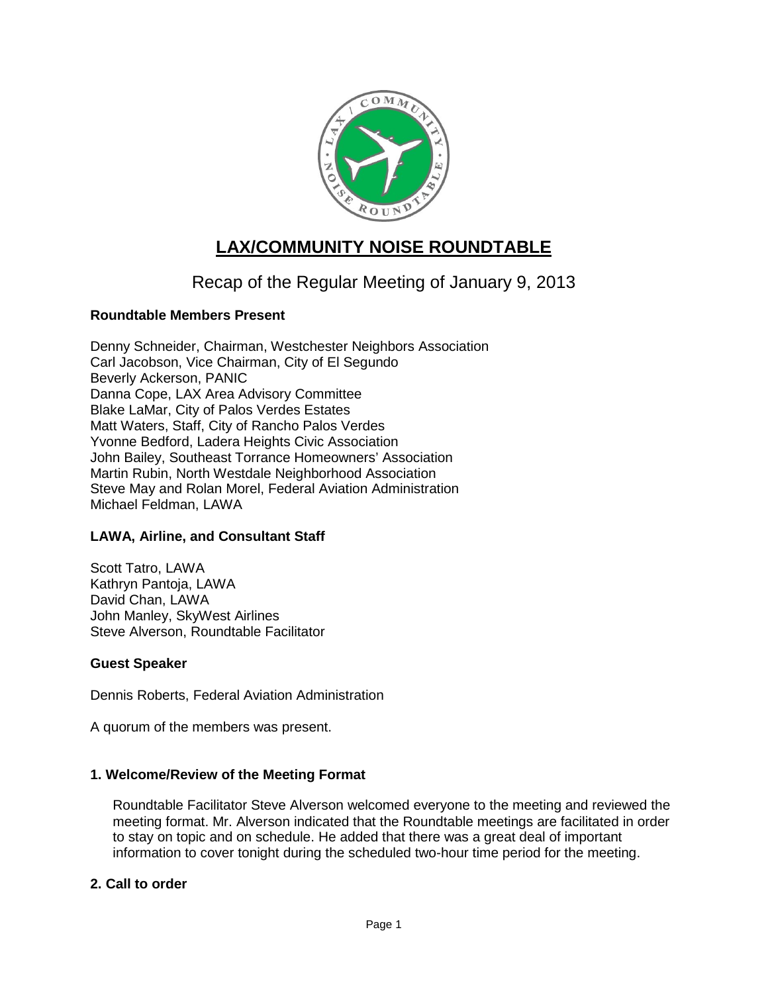

# **LAX/COMMUNITY NOISE ROUNDTABLE**

# Recap of the Regular Meeting of January 9, 2013

# **Roundtable Members Present**

Denny Schneider, Chairman, Westchester Neighbors Association Carl Jacobson, Vice Chairman, City of El Segundo Beverly Ackerson, PANIC Danna Cope, LAX Area Advisory Committee Blake LaMar, City of Palos Verdes Estates Matt Waters, Staff, City of Rancho Palos Verdes Yvonne Bedford, Ladera Heights Civic Association John Bailey, Southeast Torrance Homeowners' Association Martin Rubin, North Westdale Neighborhood Association Steve May and Rolan Morel, Federal Aviation Administration Michael Feldman, LAWA

# **LAWA, Airline, and Consultant Staff**

Scott Tatro, LAWA Kathryn Pantoja, LAWA David Chan, LAWA John Manley, SkyWest Airlines Steve Alverson, Roundtable Facilitator

# **Guest Speaker**

Dennis Roberts, Federal Aviation Administration

A quorum of the members was present.

# **1. Welcome/Review of the Meeting Format**

Roundtable Facilitator Steve Alverson welcomed everyone to the meeting and reviewed the meeting format. Mr. Alverson indicated that the Roundtable meetings are facilitated in order to stay on topic and on schedule. He added that there was a great deal of important information to cover tonight during the scheduled two-hour time period for the meeting.

# **2. Call to order**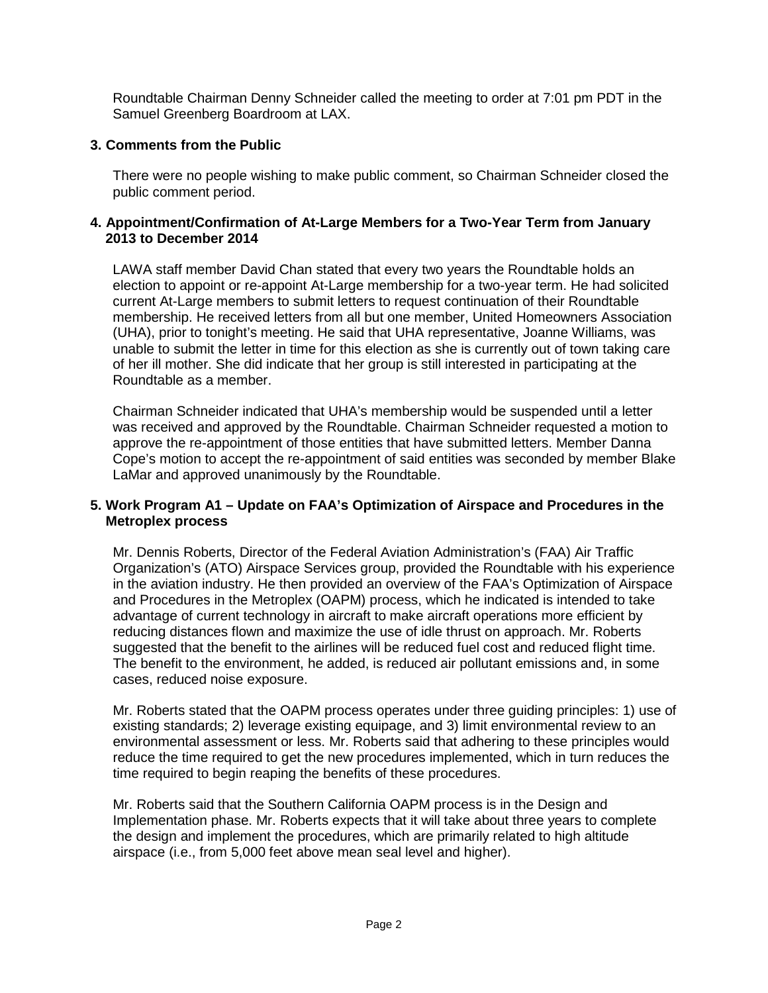Roundtable Chairman Denny Schneider called the meeting to order at 7:01 pm PDT in the Samuel Greenberg Boardroom at LAX.

# **3. Comments from the Public**

There were no people wishing to make public comment, so Chairman Schneider closed the public comment period.

#### **4. Appointment/Confirmation of At-Large Members for a Two-Year Term from January 2013 to December 2014**

LAWA staff member David Chan stated that every two years the Roundtable holds an election to appoint or re-appoint At-Large membership for a two-year term. He had solicited current At-Large members to submit letters to request continuation of their Roundtable membership. He received letters from all but one member, United Homeowners Association (UHA), prior to tonight's meeting. He said that UHA representative, Joanne Williams, was unable to submit the letter in time for this election as she is currently out of town taking care of her ill mother. She did indicate that her group is still interested in participating at the Roundtable as a member.

Chairman Schneider indicated that UHA's membership would be suspended until a letter was received and approved by the Roundtable. Chairman Schneider requested a motion to approve the re-appointment of those entities that have submitted letters. Member Danna Cope's motion to accept the re-appointment of said entities was seconded by member Blake LaMar and approved unanimously by the Roundtable.

# **5. Work Program A1 – Update on FAA's Optimization of Airspace and Procedures in the Metroplex process**

Mr. Dennis Roberts, Director of the Federal Aviation Administration's (FAA) Air Traffic Organization's (ATO) Airspace Services group, provided the Roundtable with his experience in the aviation industry. He then provided an overview of the FAA's Optimization of Airspace and Procedures in the Metroplex (OAPM) process, which he indicated is intended to take advantage of current technology in aircraft to make aircraft operations more efficient by reducing distances flown and maximize the use of idle thrust on approach. Mr. Roberts suggested that the benefit to the airlines will be reduced fuel cost and reduced flight time. The benefit to the environment, he added, is reduced air pollutant emissions and, in some cases, reduced noise exposure.

Mr. Roberts stated that the OAPM process operates under three guiding principles: 1) use of existing standards; 2) leverage existing equipage, and 3) limit environmental review to an environmental assessment or less. Mr. Roberts said that adhering to these principles would reduce the time required to get the new procedures implemented, which in turn reduces the time required to begin reaping the benefits of these procedures.

Mr. Roberts said that the Southern California OAPM process is in the Design and Implementation phase. Mr. Roberts expects that it will take about three years to complete the design and implement the procedures, which are primarily related to high altitude airspace (i.e., from 5,000 feet above mean seal level and higher).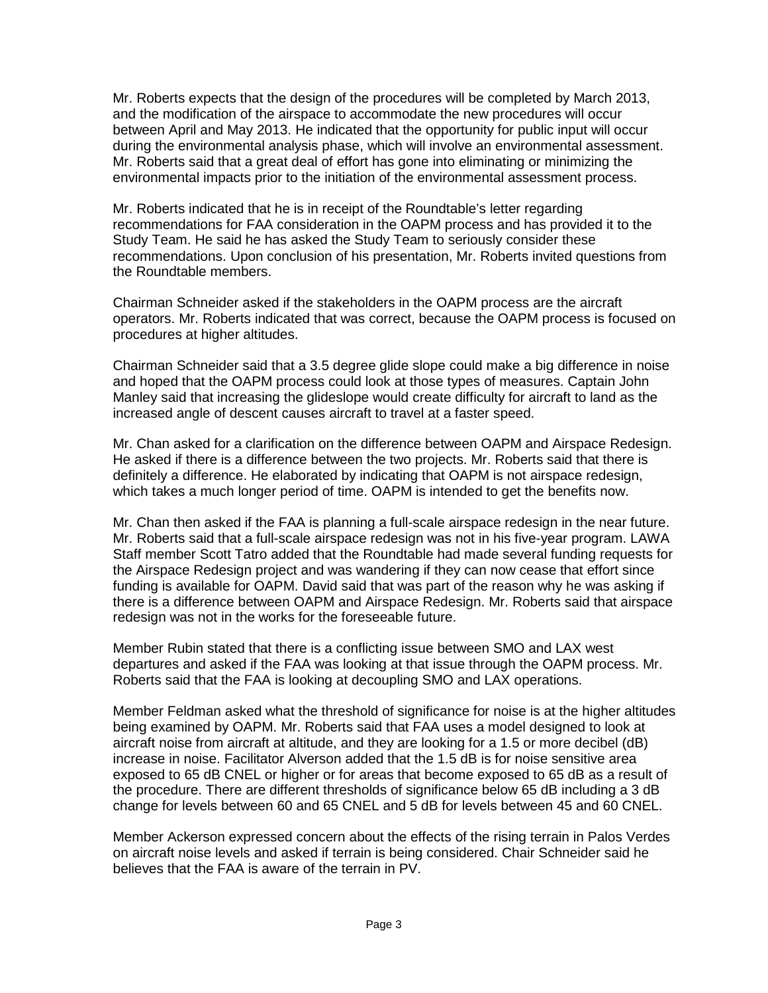Mr. Roberts expects that the design of the procedures will be completed by March 2013, and the modification of the airspace to accommodate the new procedures will occur between April and May 2013. He indicated that the opportunity for public input will occur during the environmental analysis phase, which will involve an environmental assessment. Mr. Roberts said that a great deal of effort has gone into eliminating or minimizing the environmental impacts prior to the initiation of the environmental assessment process.

Mr. Roberts indicated that he is in receipt of the Roundtable's letter regarding recommendations for FAA consideration in the OAPM process and has provided it to the Study Team. He said he has asked the Study Team to seriously consider these recommendations. Upon conclusion of his presentation, Mr. Roberts invited questions from the Roundtable members.

Chairman Schneider asked if the stakeholders in the OAPM process are the aircraft operators. Mr. Roberts indicated that was correct, because the OAPM process is focused on procedures at higher altitudes.

Chairman Schneider said that a 3.5 degree glide slope could make a big difference in noise and hoped that the OAPM process could look at those types of measures. Captain John Manley said that increasing the glideslope would create difficulty for aircraft to land as the increased angle of descent causes aircraft to travel at a faster speed.

Mr. Chan asked for a clarification on the difference between OAPM and Airspace Redesign. He asked if there is a difference between the two projects. Mr. Roberts said that there is definitely a difference. He elaborated by indicating that OAPM is not airspace redesign, which takes a much longer period of time. OAPM is intended to get the benefits now.

Mr. Chan then asked if the FAA is planning a full-scale airspace redesign in the near future. Mr. Roberts said that a full-scale airspace redesign was not in his five-year program. LAWA Staff member Scott Tatro added that the Roundtable had made several funding requests for the Airspace Redesign project and was wandering if they can now cease that effort since funding is available for OAPM. David said that was part of the reason why he was asking if there is a difference between OAPM and Airspace Redesign. Mr. Roberts said that airspace redesign was not in the works for the foreseeable future.

Member Rubin stated that there is a conflicting issue between SMO and LAX west departures and asked if the FAA was looking at that issue through the OAPM process. Mr. Roberts said that the FAA is looking at decoupling SMO and LAX operations.

Member Feldman asked what the threshold of significance for noise is at the higher altitudes being examined by OAPM. Mr. Roberts said that FAA uses a model designed to look at aircraft noise from aircraft at altitude, and they are looking for a 1.5 or more decibel (dB) increase in noise. Facilitator Alverson added that the 1.5 dB is for noise sensitive area exposed to 65 dB CNEL or higher or for areas that become exposed to 65 dB as a result of the procedure. There are different thresholds of significance below 65 dB including a 3 dB change for levels between 60 and 65 CNEL and 5 dB for levels between 45 and 60 CNEL.

Member Ackerson expressed concern about the effects of the rising terrain in Palos Verdes on aircraft noise levels and asked if terrain is being considered. Chair Schneider said he believes that the FAA is aware of the terrain in PV.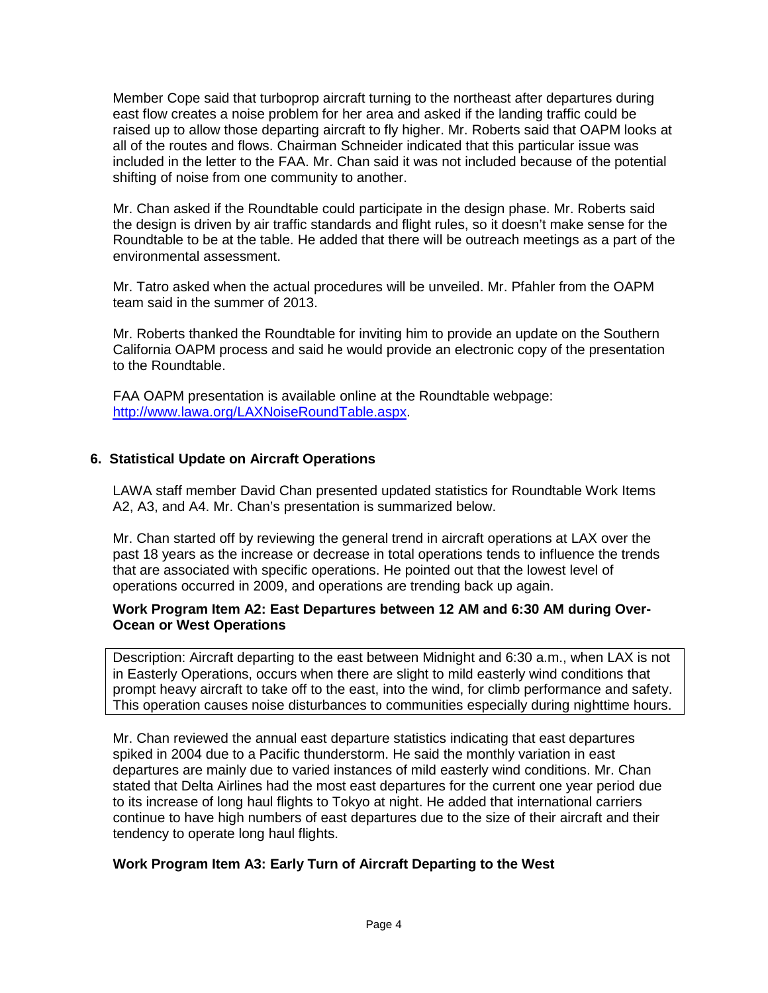Member Cope said that turboprop aircraft turning to the northeast after departures during east flow creates a noise problem for her area and asked if the landing traffic could be raised up to allow those departing aircraft to fly higher. Mr. Roberts said that OAPM looks at all of the routes and flows. Chairman Schneider indicated that this particular issue was included in the letter to the FAA. Mr. Chan said it was not included because of the potential shifting of noise from one community to another.

Mr. Chan asked if the Roundtable could participate in the design phase. Mr. Roberts said the design is driven by air traffic standards and flight rules, so it doesn't make sense for the Roundtable to be at the table. He added that there will be outreach meetings as a part of the environmental assessment.

Mr. Tatro asked when the actual procedures will be unveiled. Mr. Pfahler from the OAPM team said in the summer of 2013.

Mr. Roberts thanked the Roundtable for inviting him to provide an update on the Southern California OAPM process and said he would provide an electronic copy of the presentation to the Roundtable.

FAA OAPM presentation is available online at the Roundtable webpage: [http://www.lawa.org/LAXNoiseRoundTable.aspx.](http://www.lawa.org/LAXNoiseRoundTable.aspx)

# **6. Statistical Update on Aircraft Operations**

LAWA staff member David Chan presented updated statistics for Roundtable Work Items A2, A3, and A4. Mr. Chan's presentation is summarized below.

Mr. Chan started off by reviewing the general trend in aircraft operations at LAX over the past 18 years as the increase or decrease in total operations tends to influence the trends that are associated with specific operations. He pointed out that the lowest level of operations occurred in 2009, and operations are trending back up again.

#### **Work Program Item A2: East Departures between 12 AM and 6:30 AM during Over-Ocean or West Operations**

Description: Aircraft departing to the east between Midnight and 6:30 a.m., when LAX is not in Easterly Operations, occurs when there are slight to mild easterly wind conditions that prompt heavy aircraft to take off to the east, into the wind, for climb performance and safety. This operation causes noise disturbances to communities especially during nighttime hours.

Mr. Chan reviewed the annual east departure statistics indicating that east departures spiked in 2004 due to a Pacific thunderstorm. He said the monthly variation in east departures are mainly due to varied instances of mild easterly wind conditions. Mr. Chan stated that Delta Airlines had the most east departures for the current one year period due to its increase of long haul flights to Tokyo at night. He added that international carriers continue to have high numbers of east departures due to the size of their aircraft and their tendency to operate long haul flights.

# **Work Program Item A3: Early Turn of Aircraft Departing to the West**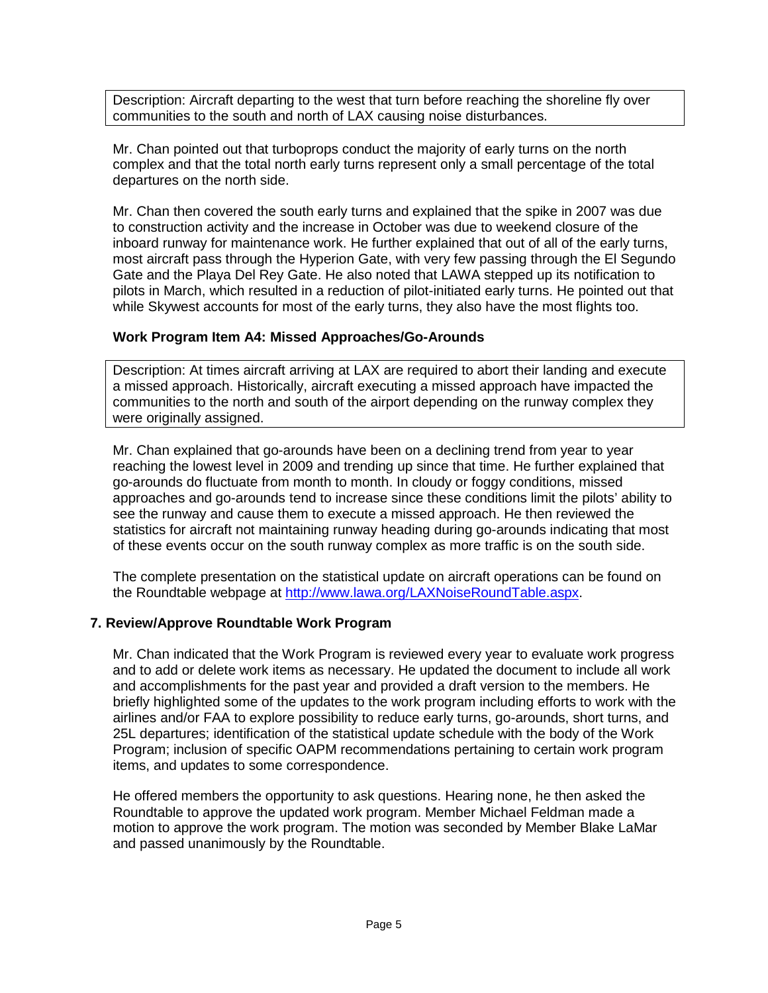Description: Aircraft departing to the west that turn before reaching the shoreline fly over communities to the south and north of LAX causing noise disturbances.

Mr. Chan pointed out that turboprops conduct the majority of early turns on the north complex and that the total north early turns represent only a small percentage of the total departures on the north side.

Mr. Chan then covered the south early turns and explained that the spike in 2007 was due to construction activity and the increase in October was due to weekend closure of the inboard runway for maintenance work. He further explained that out of all of the early turns, most aircraft pass through the Hyperion Gate, with very few passing through the El Segundo Gate and the Playa Del Rey Gate. He also noted that LAWA stepped up its notification to pilots in March, which resulted in a reduction of pilot-initiated early turns. He pointed out that while Skywest accounts for most of the early turns, they also have the most flights too.

# **Work Program Item A4: Missed Approaches/Go-Arounds**

Description: At times aircraft arriving at LAX are required to abort their landing and execute a missed approach. Historically, aircraft executing a missed approach have impacted the communities to the north and south of the airport depending on the runway complex they were originally assigned.

Mr. Chan explained that go-arounds have been on a declining trend from year to year reaching the lowest level in 2009 and trending up since that time. He further explained that go-arounds do fluctuate from month to month. In cloudy or foggy conditions, missed approaches and go-arounds tend to increase since these conditions limit the pilots' ability to see the runway and cause them to execute a missed approach. He then reviewed the statistics for aircraft not maintaining runway heading during go-arounds indicating that most of these events occur on the south runway complex as more traffic is on the south side.

The complete presentation on the statistical update on aircraft operations can be found on the Roundtable webpage at [http://www.lawa.org/LAXNoiseRoundTable.aspx.](http://www.lawa.org/LAXNoiseRoundTable.aspx)

# **7. Review/Approve Roundtable Work Program**

Mr. Chan indicated that the Work Program is reviewed every year to evaluate work progress and to add or delete work items as necessary. He updated the document to include all work and accomplishments for the past year and provided a draft version to the members. He briefly highlighted some of the updates to the work program including efforts to work with the airlines and/or FAA to explore possibility to reduce early turns, go-arounds, short turns, and 25L departures; identification of the statistical update schedule with the body of the Work Program; inclusion of specific OAPM recommendations pertaining to certain work program items, and updates to some correspondence.

He offered members the opportunity to ask questions. Hearing none, he then asked the Roundtable to approve the updated work program. Member Michael Feldman made a motion to approve the work program. The motion was seconded by Member Blake LaMar and passed unanimously by the Roundtable.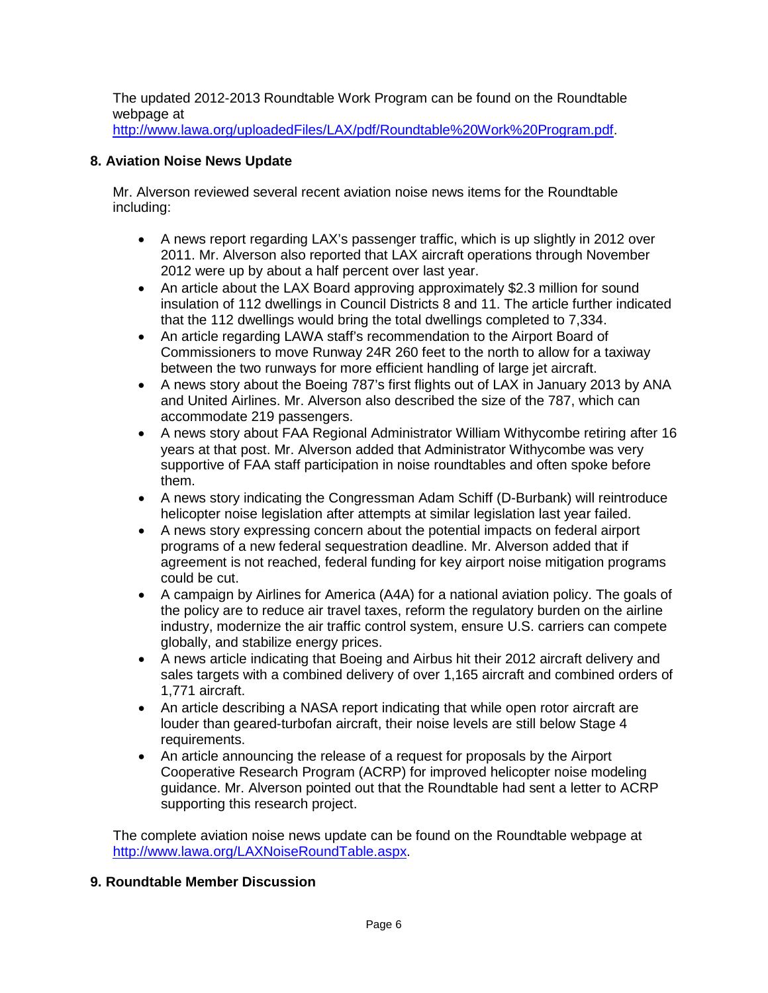The updated 2012-2013 Roundtable Work Program can be found on the Roundtable webpage at

[http://www.lawa.org/uploadedFiles/LAX/pdf/Roundtable%20Work%20Program.pdf.](http://www.lawa.org/uploadedFiles/LAX/pdf/Roundtable%20Work%20Program.pdf)

# **8. Aviation Noise News Update**

Mr. Alverson reviewed several recent aviation noise news items for the Roundtable including:

- A news report regarding LAX's passenger traffic, which is up slightly in 2012 over 2011. Mr. Alverson also reported that LAX aircraft operations through November 2012 were up by about a half percent over last year.
- An article about the LAX Board approving approximately \$2.3 million for sound insulation of 112 dwellings in Council Districts 8 and 11. The article further indicated that the 112 dwellings would bring the total dwellings completed to 7,334.
- An article regarding LAWA staff's recommendation to the Airport Board of Commissioners to move Runway 24R 260 feet to the north to allow for a taxiway between the two runways for more efficient handling of large jet aircraft.
- A news story about the Boeing 787's first flights out of LAX in January 2013 by ANA and United Airlines. Mr. Alverson also described the size of the 787, which can accommodate 219 passengers.
- A news story about FAA Regional Administrator William Withycombe retiring after 16 years at that post. Mr. Alverson added that Administrator Withycombe was very supportive of FAA staff participation in noise roundtables and often spoke before them.
- A news story indicating the Congressman Adam Schiff (D-Burbank) will reintroduce helicopter noise legislation after attempts at similar legislation last year failed.
- A news story expressing concern about the potential impacts on federal airport programs of a new federal sequestration deadline. Mr. Alverson added that if agreement is not reached, federal funding for key airport noise mitigation programs could be cut.
- A campaign by Airlines for America (A4A) for a national aviation policy. The goals of the policy are to reduce air travel taxes, reform the regulatory burden on the airline industry, modernize the air traffic control system, ensure U.S. carriers can compete globally, and stabilize energy prices.
- A news article indicating that Boeing and Airbus hit their 2012 aircraft delivery and sales targets with a combined delivery of over 1,165 aircraft and combined orders of 1,771 aircraft.
- An article describing a NASA report indicating that while open rotor aircraft are louder than geared-turbofan aircraft, their noise levels are still below Stage 4 requirements.
- An article announcing the release of a request for proposals by the Airport Cooperative Research Program (ACRP) for improved helicopter noise modeling guidance. Mr. Alverson pointed out that the Roundtable had sent a letter to ACRP supporting this research project.

The complete aviation noise news update can be found on the Roundtable webpage at [http://www.lawa.org/LAXNoiseRoundTable.aspx.](http://www.lawa.org/LAXNoiseRoundTable.aspx)

# **9. Roundtable Member Discussion**